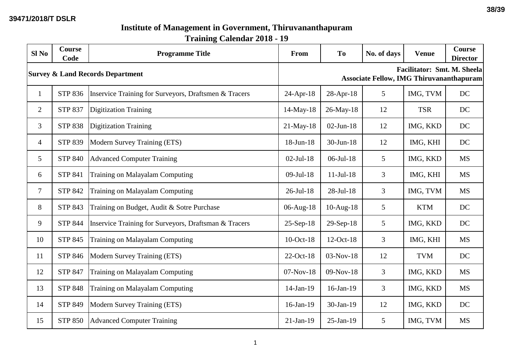## **Institute of Management in Government, Thiruvananthapuram Training Calendar 2018 - 19**

| Sl <sub>No</sub>                            | <b>Course</b><br>Code | <b>Programme Title</b>                                | From                                                                                  | T <sub>0</sub>  | No. of days | <b>Venue</b> | <b>Course</b><br><b>Director</b> |  |
|---------------------------------------------|-----------------------|-------------------------------------------------------|---------------------------------------------------------------------------------------|-----------------|-------------|--------------|----------------------------------|--|
| <b>Survey &amp; Land Records Department</b> |                       |                                                       | <b>Facilitator: Smt. M. Sheela</b><br><b>Associate Fellow, IMG Thiruvananthapuram</b> |                 |             |              |                                  |  |
| $\mathbf{1}$                                | <b>STP 836</b>        | Inservice Training for Surveyors, Draftsmen & Tracers | $24-Apr-18$                                                                           | 28-Apr-18       | 5           | IMG, TVM     | DC                               |  |
| $\overline{2}$                              | <b>STP 837</b>        | <b>Digitization Training</b>                          | 14-May-18                                                                             | 26-May-18       | 12          | <b>TSR</b>   | DC                               |  |
| 3                                           | <b>STP 838</b>        | <b>Digitization Training</b>                          | $21$ -May-18                                                                          | $02$ -Jun-18    | 12          | IMG, KKD     | DC                               |  |
| $\overline{4}$                              | <b>STP 839</b>        | Modern Survey Training (ETS)                          | 18-Jun-18                                                                             | 30-Jun-18       | 12          | IMG, KHI     | DC                               |  |
| 5                                           | <b>STP 840</b>        | <b>Advanced Computer Training</b>                     | $02$ -Jul-18                                                                          | $06$ -Jul-18    | 5           | IMG, KKD     | <b>MS</b>                        |  |
| 6                                           | <b>STP 841</b>        | Training on Malayalam Computing                       | $09$ -Jul-18                                                                          | $11-Jul-18$     | 3           | IMG, KHI     | <b>MS</b>                        |  |
| $\overline{7}$                              | <b>STP 842</b>        | <b>Training on Malayalam Computing</b>                | $26$ -Jul-18                                                                          | 28-Jul-18       | 3           | IMG, TVM     | <b>MS</b>                        |  |
| 8                                           | STP 843               | Training on Budget, Audit & Sotre Purchase            | 06-Aug-18                                                                             | $10-Aug-18$     | 5           | <b>KTM</b>   | DC                               |  |
| 9                                           | <b>STP 844</b>        | Inservice Training for Surveyors, Draftsman & Tracers | $25-Sep-18$                                                                           | 29-Sep-18       | 5           | IMG, KKD     | <b>DC</b>                        |  |
| 10                                          | <b>STP 845</b>        | Training on Malayalam Computing                       | 10-Oct-18                                                                             | 12-Oct-18       | 3           | IMG, KHI     | <b>MS</b>                        |  |
| 11                                          | <b>STP 846</b>        | Modern Survey Training (ETS)                          | 22-Oct-18                                                                             | $03-Nov-18$     | 12          | <b>TVM</b>   | DC                               |  |
| 12                                          | <b>STP 847</b>        | Training on Malayalam Computing                       | 07-Nov-18                                                                             | 09-Nov-18       | 3           | IMG, KKD     | <b>MS</b>                        |  |
| 13                                          | <b>STP 848</b>        | Training on Malayalam Computing                       | 14-Jan-19                                                                             | $16$ -Jan- $19$ | 3           | IMG, KKD     | <b>MS</b>                        |  |
| 14                                          | STP 849               | Modern Survey Training (ETS)                          | 16-Jan-19                                                                             | 30-Jan-19       | 12          | IMG, KKD     | DC                               |  |
| 15                                          | <b>STP 850</b>        | <b>Advanced Computer Training</b>                     | $21-Jan-19$                                                                           | $25$ -Jan-19    | 5           | IMG, TVM     | <b>MS</b>                        |  |